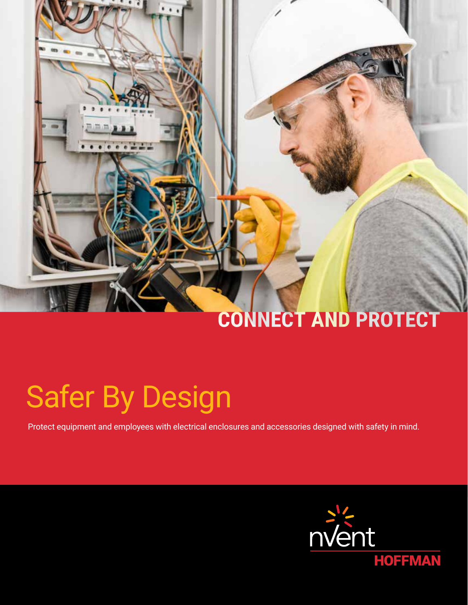# CONNECT AND PROTECT

# Safer By Design

Protect equipment and employees with electrical enclosures and accessories designed with safety in mind.

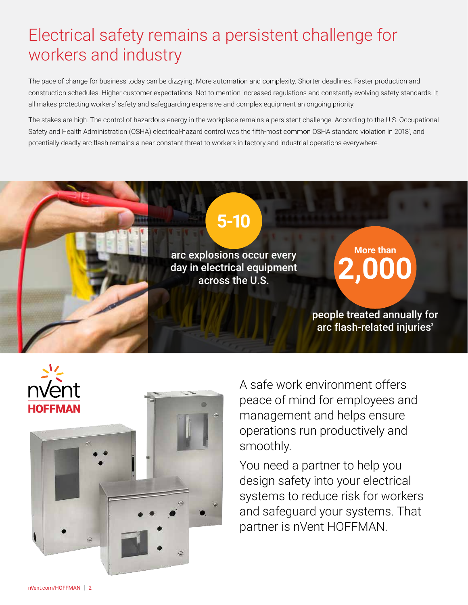# Electrical safety remains a persistent challenge for workers and industry

The pace of change for business today can be dizzying. More automation and complexity. Shorter deadlines. Faster production and construction schedules. Higher customer expectations. Not to mention increased regulations and constantly evolving safety standards. It all makes protecting workers' safety and safeguarding expensive and complex equipment an ongoing priority.

The stakes are high. The control of hazardous energy in the workplace remains a persistent challenge. According to the U.S. Occupational Safety and Health Administration (OSHA) electrical-hazard control was the fifth-most common OSHA standard violation in 2018', and potentially deadly arc flash remains a near-constant threat to workers in factory and industrial operations everywhere.





A safe work environment offers peace of mind for employees and management and helps ensure operations run productively and smoothly.

You need a partner to help you design safety into your electrical systems to reduce risk for workers and safeguard your systems. That partner is nVent HOFFMAN.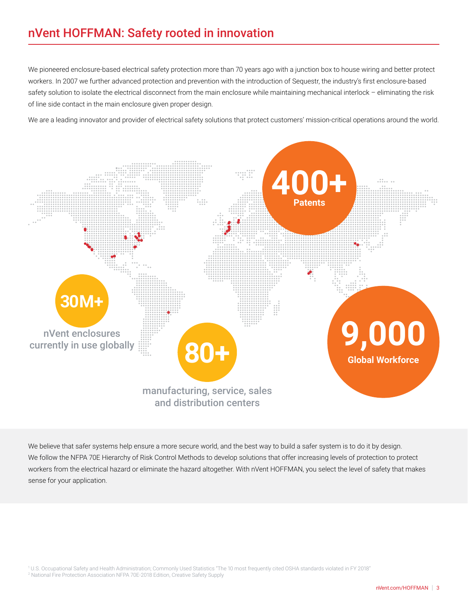### nVent HOFFMAN: Safety rooted in innovation

We pioneered enclosure-based electrical safety protection more than 70 years ago with a junction box to house wiring and better protect workers. In 2007 we further advanced protection and prevention with the introduction of Sequestr, the industry's first enclosure-based safety solution to isolate the electrical disconnect from the main enclosure while maintaining mechanical interlock - eliminating the risk of line side contact in the main enclosure given proper design.

We are a leading innovator and provider of electrical safety solutions that protect customers' mission-critical operations around the world.



We believe that safer systems help ensure a more secure world, and the best way to build a safer system is to do it by design. We follow the NFPA 70E Hierarchy of Risk Control Methods to develop solutions that offer increasing levels of protection to protect workers from the electrical hazard or eliminate the hazard altogether. With nVent HOFFMAN, you select the level of safety that makes sense for your application.

1 U.S. Occupational Safety and Health Administration; Commonly Used Statistics "The 10 most frequently cited OSHA standards violated in FY 2018"

<sup>2</sup> National Fire Protection Association NFPA 70E-2018 Edition, Creative Safety Supply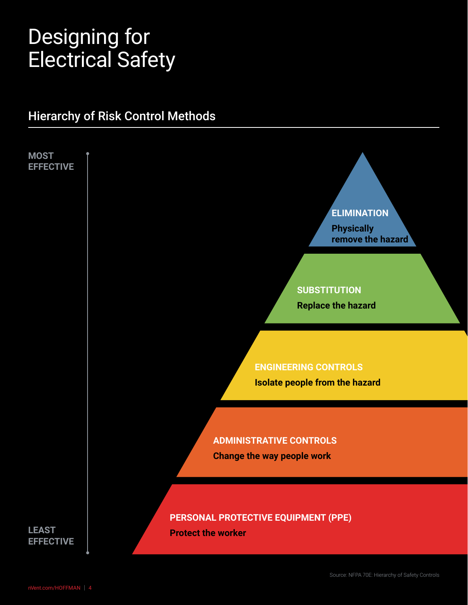# Designing for Electrical Safety

### Hierarchy of Risk Control Methods

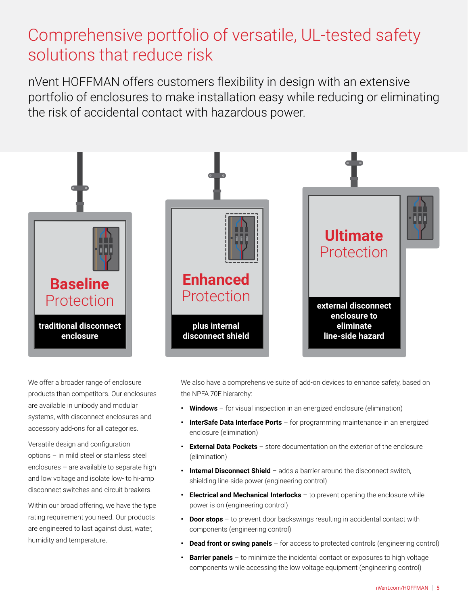# Comprehensive portfolio of versatile, UL-tested safety solutions that reduce risk

nVent HOFFMAN offers customers flexibility in design with an extensive portfolio of enclosures to make installation easy while reducing or eliminating the risk of accidental contact with hazardous power.



We offer a broader range of enclosure products than competitors. Our enclosures are available in unibody and modular systems, with disconnect enclosures and accessory add-ons for all categories.

Versatile design and configuration options – in mild steel or stainless steel enclosures – are available to separate high and low voltage and isolate low- to hi-amp disconnect switches and circuit breakers.

Within our broad offering, we have the type rating requirement you need. Our products are engineered to last against dust, water, humidity and temperature.

We also have a comprehensive suite of add-on devices to enhance safety, based on the NPFA 70E hierarchy:

- **• Windows** for visual inspection in an energized enclosure (elimination)
- **InterSafe Data Interface Ports** for programming maintenance in an energized enclosure (elimination)
- **• External Data Pockets** store documentation on the exterior of the enclosure (elimination)
- **• Internal Disconnect Shield** adds a barrier around the disconnect switch, shielding line-side power (engineering control)
- **• Electrical and Mechanical Interlocks** to prevent opening the enclosure while power is on (engineering control)
- **• Door stops** to prevent door backswings resulting in accidental contact with components (engineering control)
- **Dead front or swing panels** for access to protected controls (engineering control)
- **• Barrier panels** to minimize the incidental contact or exposures to high voltage components while accessing the low voltage equipment (engineering control)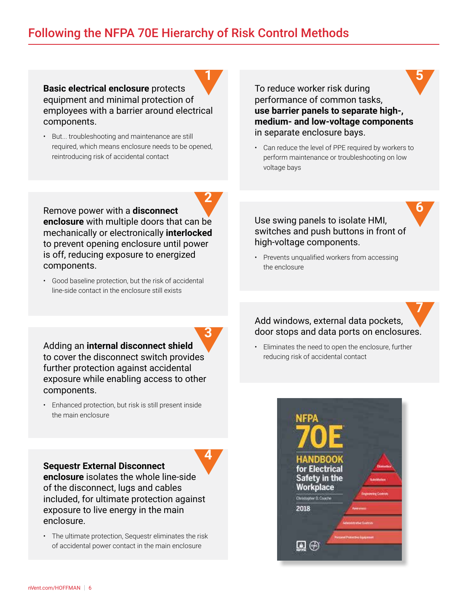### Following the NFPA 70E Hierarchy of Risk Control Methods

**2**

**4**

**Basic electrical enclosure** protects equipment and minimal protection of employees with a barrier around electrical components. **1**

• But... troubleshooting and maintenance are still required, which means enclosure needs to be opened, reintroducing risk of accidental contact

To reduce worker risk during performance of common tasks, **use barrier panels to separate high-, medium- and low-voltage components** in separate enclosure bays.

**5**

**6**

• Can reduce the level of PPE required by workers to perform maintenance or troubleshooting on low voltage bays

Use swing panels to isolate HMI, switches and push buttons in front of high-voltage components.

• Prevents unqualified workers from accessing the enclosure

### Add windows, external data pockets, door stops and data ports on enclosures. **7**

• Eliminates the need to open the enclosure, further reducing risk of accidental contact



Remove power with a **disconnect enclosure** with multiple doors that can be mechanically or electronically **interlocked** to prevent opening enclosure until power is off, reducing exposure to energized components.

• Good baseline protection, but the risk of accidental line-side contact in the enclosure still exists

Adding an **internal disconnect shield** to cover the disconnect switch provides further protection against accidental exposure while enabling access to other components. **3**

• Enhanced protection, but risk is still present inside the main enclosure

**Sequestr External Disconnect** 

**enclosure** isolates the whole line-side of the disconnect, lugs and cables included, for ultimate protection against exposure to live energy in the main enclosure.

• The ultimate protection, Sequestr eliminates the risk of accidental power contact in the main enclosure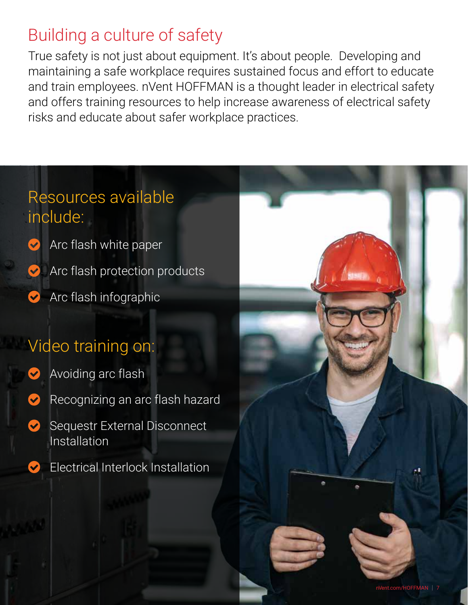# Building a culture of safety

True safety is not just about equipment. It's about people. Developing and maintaining a safe workplace requires sustained focus and effort to educate and train employees. nVent HOFFMAN is a thought leader in electrical safety and offers training resources to help increase awareness of electrical safety risks and educate about safer workplace practices.

# Resources available include:

[Arc flash white paper](https://hoffman.nvent.com/wcsstore/AuroraStorefrontAssetStore/UserDownloads/WhitePapersCaseStudies/WP-00055.pdf) **[Arc flash protection](https://hoffman.nvent.com/wcsstore/AuroraStorefrontAssetStore/User%20Downloads/LiteratureRequests/BRO-00220.pdf) products** 

[Arc flash infographic](https://go.nvent.com/rs/760-EGW-100/images/arcflash-infographic-web.pdf)  $\blacktriangledown$ 

# Video training on:

- [Avoiding arc flash](https://youtu.be/Is9u8en0Cpc)
- [Recognizing an arc flash hazard](https://youtu.be/ad67xgccJ1Y)
- Sequestr External Disconnect  $\blacktriangledown$ Installation
	- [Electrical Interlock Installation](https://youtu.be/9EPGZowUk-0)